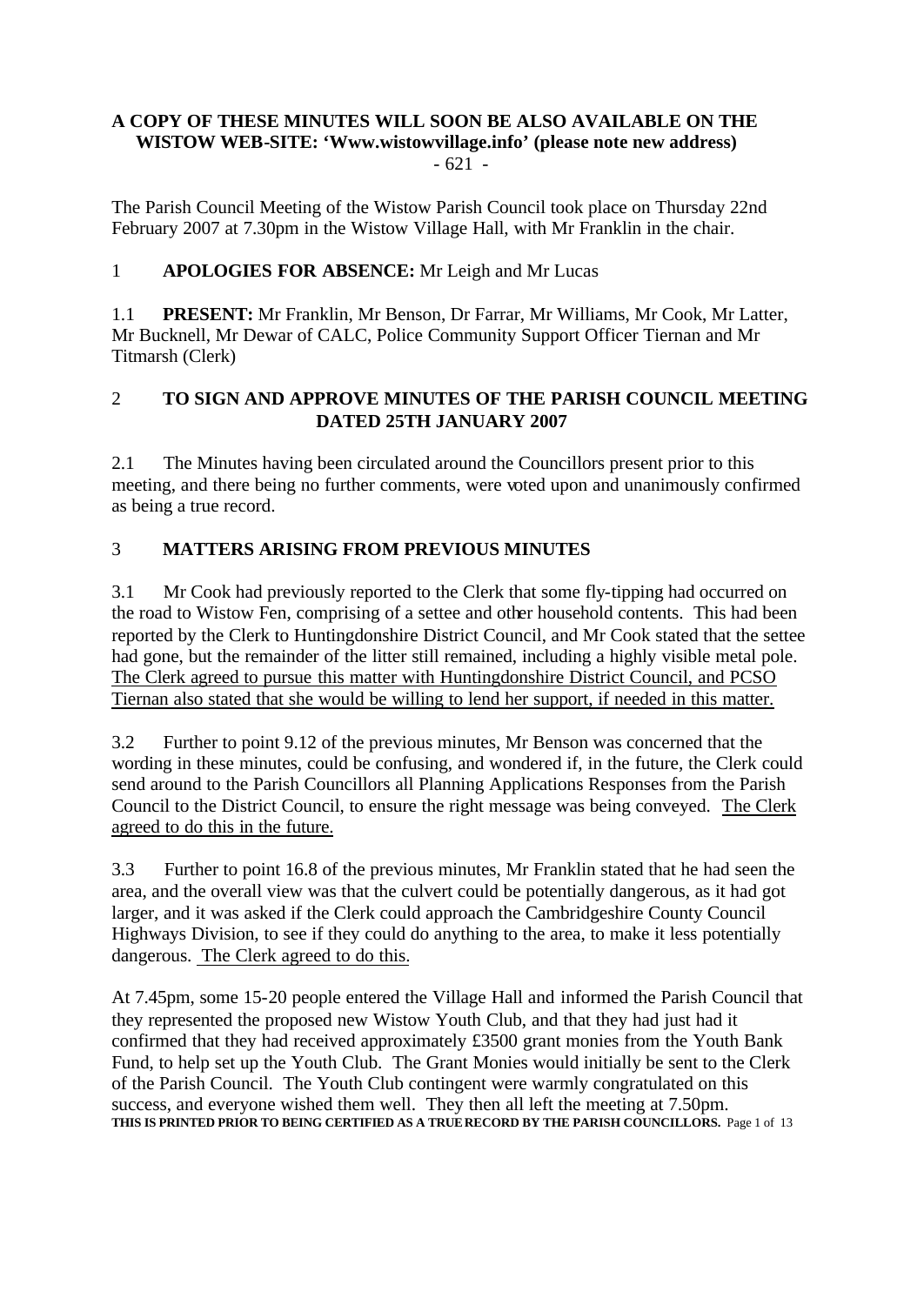# **A COPY OF THESE MINUTES WILL SOON BE ALSO AVAILABLE ON THE WISTOW WEB-SITE: 'Www.wistowvillage.info' (please note new address)** - 621 -

The Parish Council Meeting of the Wistow Parish Council took place on Thursday 22nd February 2007 at 7.30pm in the Wistow Village Hall, with Mr Franklin in the chair.

# 1 **APOLOGIES FOR ABSENCE:** Mr Leigh and Mr Lucas

1.1 **PRESENT:** Mr Franklin, Mr Benson, Dr Farrar, Mr Williams, Mr Cook, Mr Latter, Mr Bucknell, Mr Dewar of CALC, Police Community Support Officer Tiernan and Mr Titmarsh (Clerk)

# 2 **TO SIGN AND APPROVE MINUTES OF THE PARISH COUNCIL MEETING DATED 25TH JANUARY 2007**

2.1 The Minutes having been circulated around the Councillors present prior to this meeting, and there being no further comments, were voted upon and unanimously confirmed as being a true record.

# 3 **MATTERS ARISING FROM PREVIOUS MINUTES**

3.1 Mr Cook had previously reported to the Clerk that some fly-tipping had occurred on the road to Wistow Fen, comprising of a settee and other household contents. This had been reported by the Clerk to Huntingdonshire District Council, and Mr Cook stated that the settee had gone, but the remainder of the litter still remained, including a highly visible metal pole. The Clerk agreed to pursue this matter with Huntingdonshire District Council, and PCSO Tiernan also stated that she would be willing to lend her support, if needed in this matter.

3.2 Further to point 9.12 of the previous minutes, Mr Benson was concerned that the wording in these minutes, could be confusing, and wondered if, in the future, the Clerk could send around to the Parish Councillors all Planning Applications Responses from the Parish Council to the District Council, to ensure the right message was being conveyed. The Clerk agreed to do this in the future.

3.3 Further to point 16.8 of the previous minutes, Mr Franklin stated that he had seen the area, and the overall view was that the culvert could be potentially dangerous, as it had got larger, and it was asked if the Clerk could approach the Cambridgeshire County Council Highways Division, to see if they could do anything to the area, to make it less potentially dangerous. The Clerk agreed to do this.

At 7.45pm, some 15-20 people entered the Village Hall and informed the Parish Council that they represented the proposed new Wistow Youth Club, and that they had just had it confirmed that they had received approximately £3500 grant monies from the Youth Bank Fund, to help set up the Youth Club. The Grant Monies would initially be sent to the Clerk of the Parish Council. The Youth Club contingent were warmly congratulated on this success, and everyone wished them well. They then all left the meeting at 7.50pm. **THIS IS PRINTED PRIOR TO BEING CERTIFIED AS A TRUE RECORD BY THE PARISH COUNCILLORS.** Page 1 of 13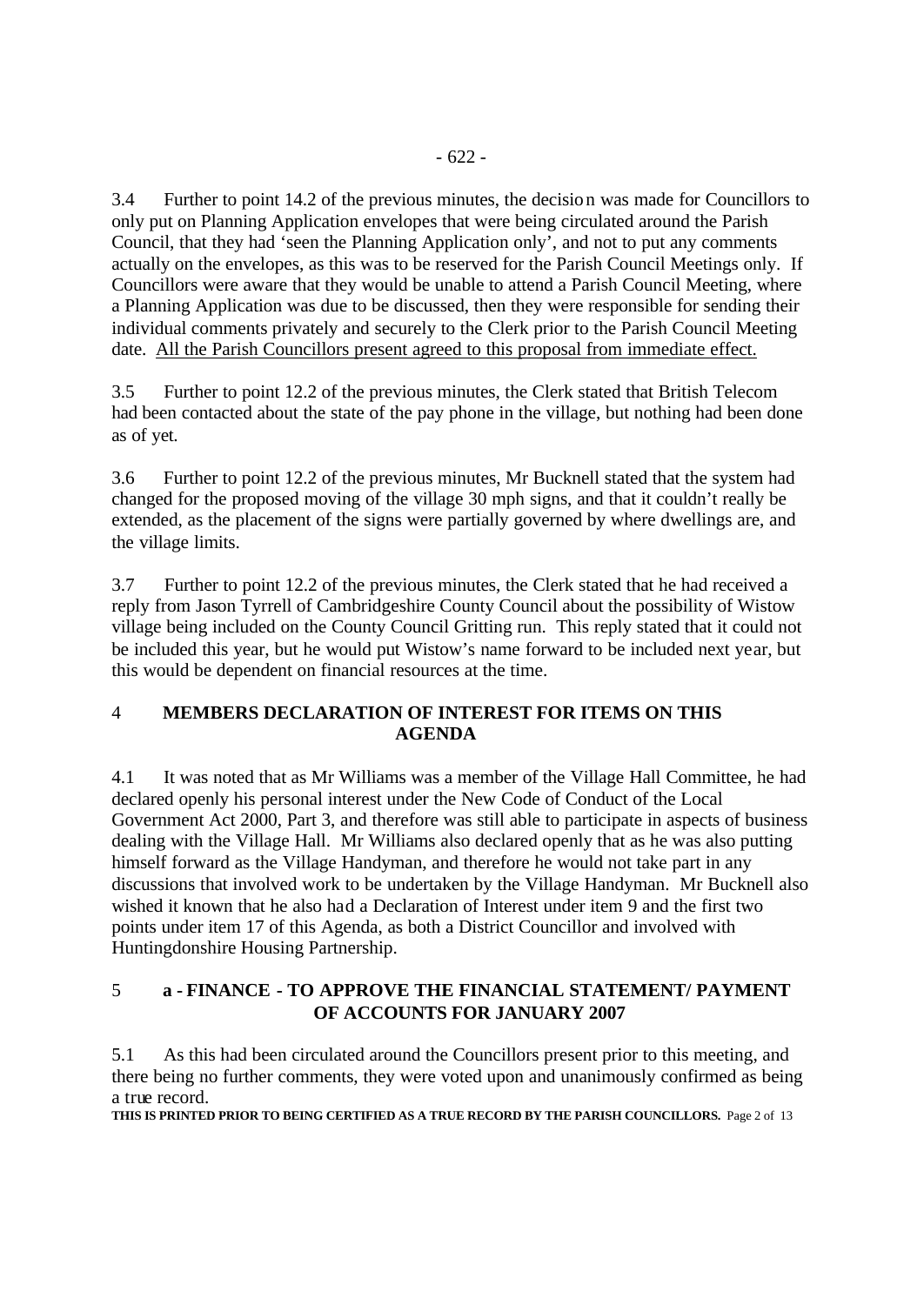3.4 Further to point 14.2 of the previous minutes, the decision was made for Councillors to only put on Planning Application envelopes that were being circulated around the Parish Council, that they had 'seen the Planning Application only', and not to put any comments actually on the envelopes, as this was to be reserved for the Parish Council Meetings only. If Councillors were aware that they would be unable to attend a Parish Council Meeting, where a Planning Application was due to be discussed, then they were responsible for sending their individual comments privately and securely to the Clerk prior to the Parish Council Meeting date. All the Parish Councillors present agreed to this proposal from immediate effect.

3.5 Further to point 12.2 of the previous minutes, the Clerk stated that British Telecom had been contacted about the state of the pay phone in the village, but nothing had been done as of yet.

3.6 Further to point 12.2 of the previous minutes, Mr Bucknell stated that the system had changed for the proposed moving of the village 30 mph signs, and that it couldn't really be extended, as the placement of the signs were partially governed by where dwellings are, and the village limits.

3.7 Further to point 12.2 of the previous minutes, the Clerk stated that he had received a reply from Jason Tyrrell of Cambridgeshire County Council about the possibility of Wistow village being included on the County Council Gritting run. This reply stated that it could not be included this year, but he would put Wistow's name forward to be included next year, but this would be dependent on financial resources at the time.

## 4 **MEMBERS DECLARATION OF INTEREST FOR ITEMS ON THIS AGENDA**

4.1 It was noted that as Mr Williams was a member of the Village Hall Committee, he had declared openly his personal interest under the New Code of Conduct of the Local Government Act 2000, Part 3, and therefore was still able to participate in aspects of business dealing with the Village Hall. Mr Williams also declared openly that as he was also putting himself forward as the Village Handyman, and therefore he would not take part in any discussions that involved work to be undertaken by the Village Handyman. Mr Bucknell also wished it known that he also had a Declaration of Interest under item 9 and the first two points under item 17 of this Agenda, as both a District Councillor and involved with Huntingdonshire Housing Partnership.

# 5 **a - FINANCE - TO APPROVE THE FINANCIAL STATEMENT/ PAYMENT OF ACCOUNTS FOR JANUARY 2007**

5.1 As this had been circulated around the Councillors present prior to this meeting, and there being no further comments, they were voted upon and unanimously confirmed as being a true record.

**THIS IS PRINTED PRIOR TO BEING CERTIFIED AS A TRUE RECORD BY THE PARISH COUNCILLORS.** Page 2 of 13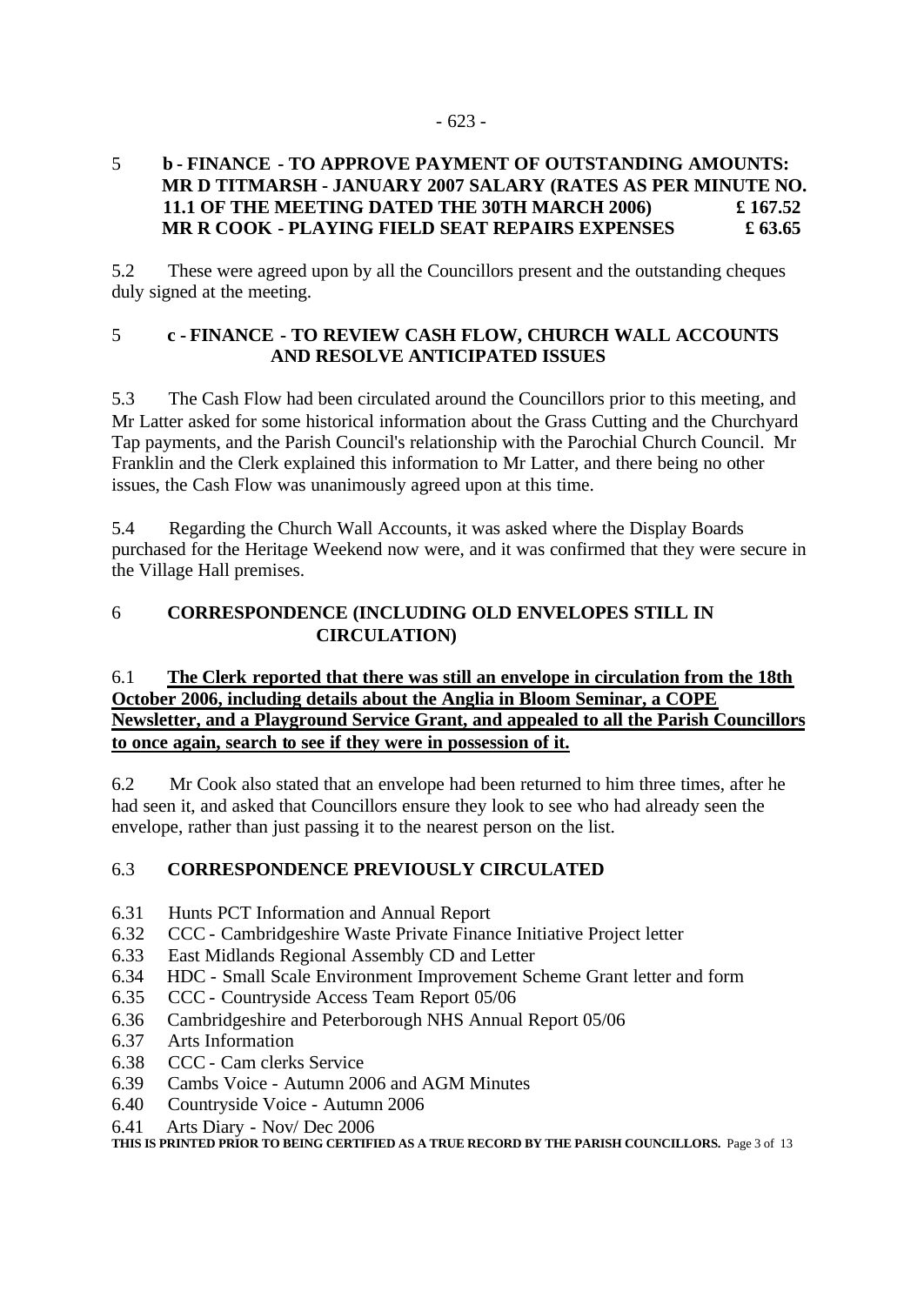## 5 **b - FINANCE - TO APPROVE PAYMENT OF OUTSTANDING AMOUNTS: MR D TITMARSH - JANUARY 2007 SALARY (RATES AS PER MINUTE NO. 11.1 OF THE MEETING DATED THE 30TH MARCH 2006) £ 167.52 MR R COOK - PLAYING FIELD SEAT REPAIRS EXPENSES £ 63.65**

5.2 These were agreed upon by all the Councillors present and the outstanding cheques duly signed at the meeting.

## 5 **c - FINANCE - TO REVIEW CASH FLOW, CHURCH WALL ACCOUNTS AND RESOLVE ANTICIPATED ISSUES**

5.3 The Cash Flow had been circulated around the Councillors prior to this meeting, and Mr Latter asked for some historical information about the Grass Cutting and the Churchyard Tap payments, and the Parish Council's relationship with the Parochial Church Council. Mr Franklin and the Clerk explained this information to Mr Latter, and there being no other issues, the Cash Flow was unanimously agreed upon at this time.

5.4 Regarding the Church Wall Accounts, it was asked where the Display Boards purchased for the Heritage Weekend now were, and it was confirmed that they were secure in the Village Hall premises.

# 6 **CORRESPONDENCE (INCLUDING OLD ENVELOPES STILL IN CIRCULATION)**

# 6.1 **The Clerk reported that there was still an envelope in circulation from the 18th October 2006, including details about the Anglia in Bloom Seminar, a COPE Newsletter, and a Playground Service Grant, and appealed to all the Parish Councillors to once again, search to see if they were in possession of it.**

6.2 Mr Cook also stated that an envelope had been returned to him three times, after he had seen it, and asked that Councillors ensure they look to see who had already seen the envelope, rather than just passing it to the nearest person on the list.

# 6.3 **CORRESPONDENCE PREVIOUSLY CIRCULATED**

- 6.31 Hunts PCT Information and Annual Report
- 6.32 CCC Cambridgeshire Waste Private Finance Initiative Project letter
- 6.33 East Midlands Regional Assembly CD and Letter
- 6.34 HDC Small Scale Environment Improvement Scheme Grant letter and form
- 6.35 CCC Countryside Access Team Report 05/06
- 6.36 Cambridgeshire and Peterborough NHS Annual Report 05/06
- 6.37 Arts Information
- 6.38 CCC Cam clerks Service
- 6.39 Cambs Voice Autumn 2006 and AGM Minutes
- 6.40 Countryside Voice Autumn 2006
- 6.41 Arts Diary Nov/ Dec 2006

**THIS IS PRINTED PRIOR TO BEING CERTIFIED AS A TRUE RECORD BY THE PARISH COUNCILLORS.** Page 3 of 13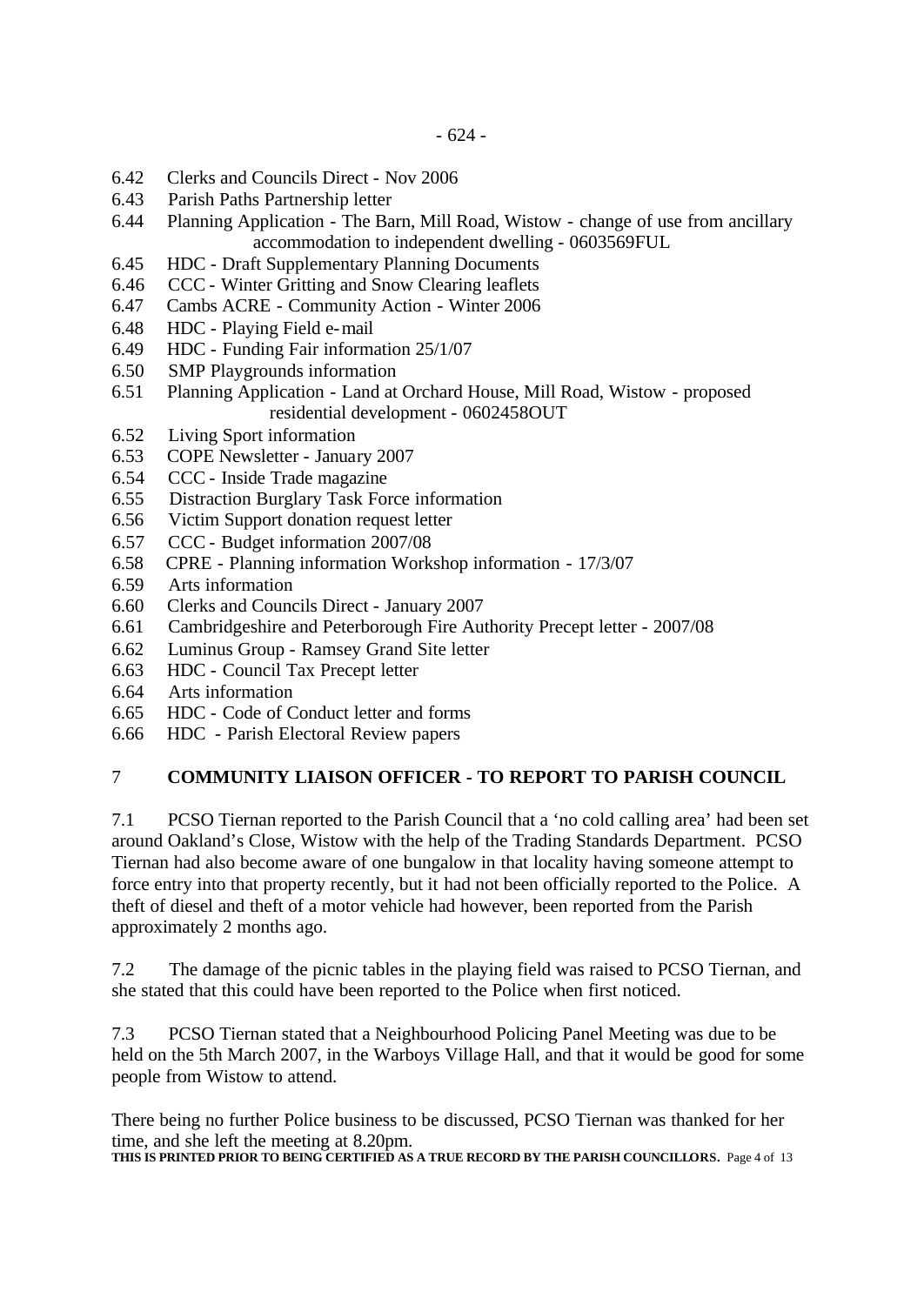- 6.42 Clerks and Councils Direct Nov 2006
- 6.43 Parish Paths Partnership letter
- 6.44 Planning Application The Barn, Mill Road, Wistow change of use from ancillary accommodation to independent dwelling - 0603569FUL
- 6.45 HDC Draft Supplementary Planning Documents
- 6.46 CCC Winter Gritting and Snow Clearing leaflets
- 6.47 Cambs ACRE Community Action Winter 2006
- 6.48 HDC Playing Field e-mail
- 6.49 HDC Funding Fair information 25/1/07
- 6.50 SMP Playgrounds information
- 6.51 Planning Application Land at Orchard House, Mill Road, Wistow proposed residential development - 0602458OUT
- 6.52 Living Sport information
- 6.53 COPE Newsletter January 2007
- 6.54 CCC Inside Trade magazine
- 6.55 Distraction Burglary Task Force information
- 6.56 Victim Support donation request letter
- 6.57 CCC Budget information 2007/08
- 6.58 CPRE Planning information Workshop information 17/3/07
- 6.59 Arts information
- 6.60 Clerks and Councils Direct January 2007
- 6.61 Cambridgeshire and Peterborough Fire Authority Precept letter 2007/08
- 6.62 Luminus Group Ramsey Grand Site letter
- 6.63 HDC Council Tax Precept letter
- 6.64 Arts information
- 6.65 HDC Code of Conduct letter and forms
- 6.66 HDC Parish Electoral Review papers

#### 7 **COMMUNITY LIAISON OFFICER - TO REPORT TO PARISH COUNCIL**

7.1 PCSO Tiernan reported to the Parish Council that a 'no cold calling area' had been set around Oakland's Close, Wistow with the help of the Trading Standards Department. PCSO Tiernan had also become aware of one bungalow in that locality having someone attempt to force entry into that property recently, but it had not been officially reported to the Police. A theft of diesel and theft of a motor vehicle had however, been reported from the Parish approximately 2 months ago.

7.2 The damage of the picnic tables in the playing field was raised to PCSO Tiernan, and she stated that this could have been reported to the Police when first noticed.

7.3 PCSO Tiernan stated that a Neighbourhood Policing Panel Meeting was due to be held on the 5th March 2007, in the Warboys Village Hall, and that it would be good for some people from Wistow to attend.

There being no further Police business to be discussed, PCSO Tiernan was thanked for her time, and she left the meeting at 8.20pm.

**THIS IS PRINTED PRIOR TO BEING CERTIFIED AS A TRUE RECORD BY THE PARISH COUNCILLORS.** Page 4 of 13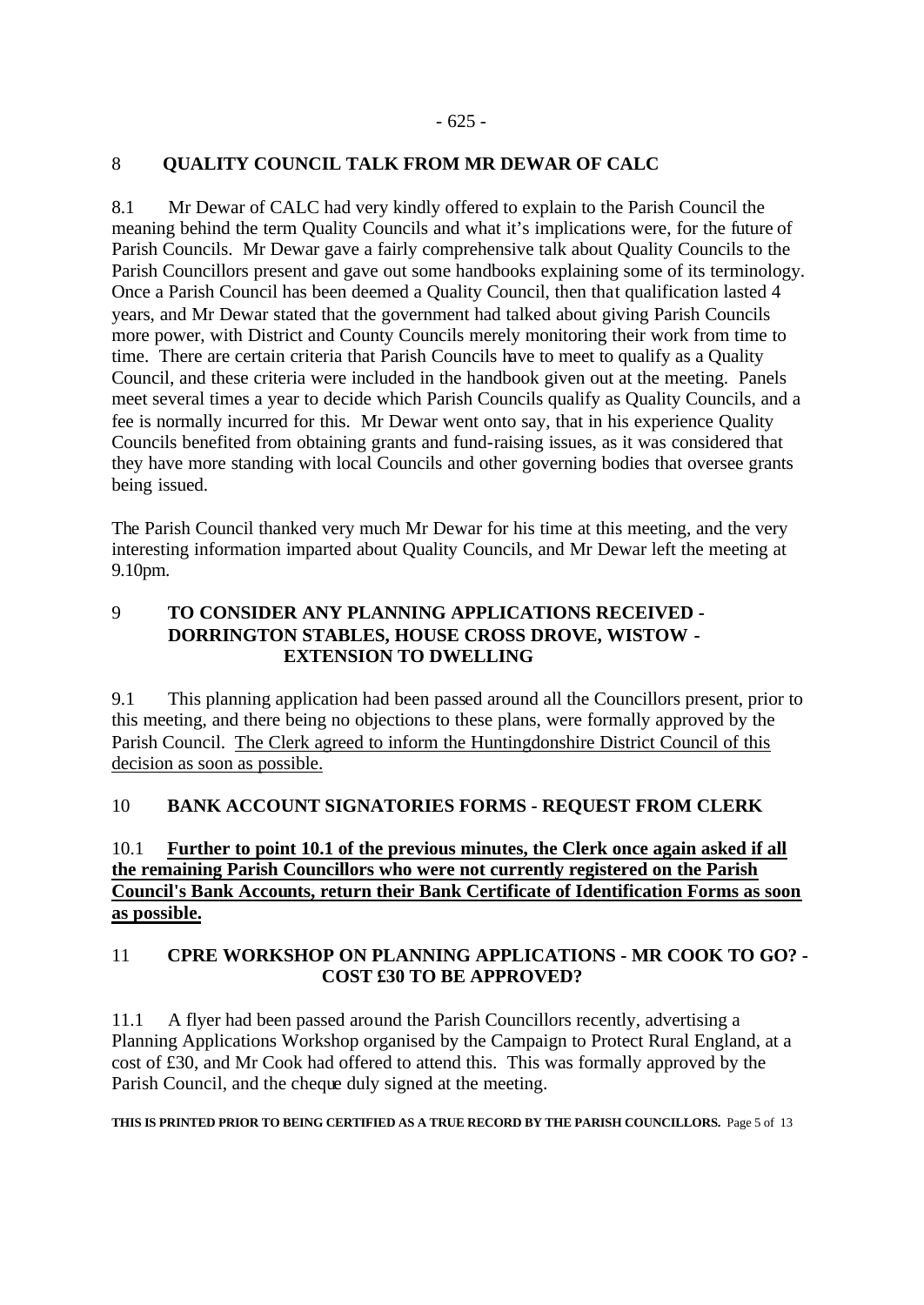#### 8 **QUALITY COUNCIL TALK FROM MR DEWAR OF CALC**

8.1 Mr Dewar of CALC had very kindly offered to explain to the Parish Council the meaning behind the term Quality Councils and what it's implications were, for the future of Parish Councils. Mr Dewar gave a fairly comprehensive talk about Quality Councils to the Parish Councillors present and gave out some handbooks explaining some of its terminology. Once a Parish Council has been deemed a Quality Council, then that qualification lasted 4 years, and Mr Dewar stated that the government had talked about giving Parish Councils more power, with District and County Councils merely monitoring their work from time to time. There are certain criteria that Parish Councils have to meet to qualify as a Quality Council, and these criteria were included in the handbook given out at the meeting. Panels meet several times a year to decide which Parish Councils qualify as Quality Councils, and a fee is normally incurred for this. Mr Dewar went onto say, that in his experience Quality Councils benefited from obtaining grants and fund-raising issues, as it was considered that they have more standing with local Councils and other governing bodies that oversee grants being issued.

The Parish Council thanked very much Mr Dewar for his time at this meeting, and the very interesting information imparted about Quality Councils, and Mr Dewar left the meeting at 9.10pm.

# 9 **TO CONSIDER ANY PLANNING APPLICATIONS RECEIVED - DORRINGTON STABLES, HOUSE CROSS DROVE, WISTOW - EXTENSION TO DWELLING**

9.1 This planning application had been passed around all the Councillors present, prior to this meeting, and there being no objections to these plans, were formally approved by the Parish Council. The Clerk agreed to inform the Huntingdonshire District Council of this decision as soon as possible.

# 10 **BANK ACCOUNT SIGNATORIES FORMS - REQUEST FROM CLERK**

## 10.1 **Further to point 10.1 of the previous minutes, the Clerk once again asked if all the remaining Parish Councillors who were not currently registered on the Parish Council's Bank Accounts, return their Bank Certificate of Identification Forms as soon as possible.**

#### 11 **CPRE WORKSHOP ON PLANNING APPLICATIONS - MR COOK TO GO? - COST £30 TO BE APPROVED?**

11.1 A flyer had been passed around the Parish Councillors recently, advertising a Planning Applications Workshop organised by the Campaign to Protect Rural England, at a cost of £30, and Mr Cook had offered to attend this. This was formally approved by the Parish Council, and the cheque duly signed at the meeting.

**THIS IS PRINTED PRIOR TO BEING CERTIFIED AS A TRUE RECORD BY THE PARISH COUNCILLORS.** Page 5 of 13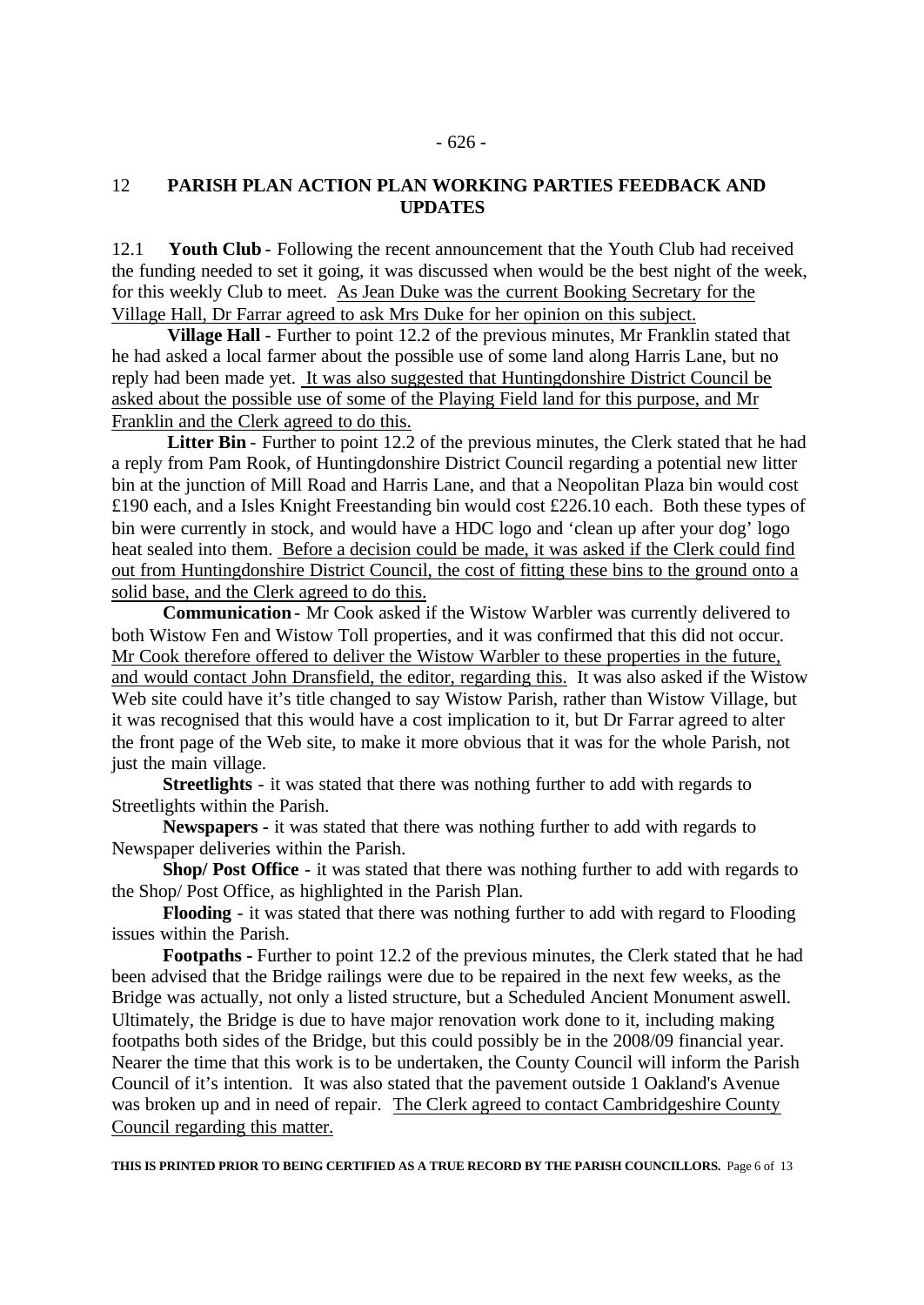#### - 626 -

# 12 **PARISH PLAN ACTION PLAN WORKING PARTIES FEEDBACK AND UPDATES**

12.1 **Youth Club** - Following the recent announcement that the Youth Club had received the funding needed to set it going, it was discussed when would be the best night of the week, for this weekly Club to meet. As Jean Duke was the current Booking Secretary for the Village Hall, Dr Farrar agreed to ask Mrs Duke for her opinion on this subject.

**Village Hall** - Further to point 12.2 of the previous minutes, Mr Franklin stated that he had asked a local farmer about the possible use of some land along Harris Lane, but no reply had been made yet. It was also suggested that Huntingdonshire District Council be asked about the possible use of some of the Playing Field land for this purpose, and Mr Franklin and the Clerk agreed to do this.

Litter Bin - Further to point 12.2 of the previous minutes, the Clerk stated that he had a reply from Pam Rook, of Huntingdonshire District Council regarding a potential new litter bin at the junction of Mill Road and Harris Lane, and that a Neopolitan Plaza bin would cost £190 each, and a Isles Knight Freestanding bin would cost £226.10 each. Both these types of bin were currently in stock, and would have a HDC logo and 'clean up after your dog' logo heat sealed into them. Before a decision could be made, it was asked if the Clerk could find out from Huntingdonshire District Council, the cost of fitting these bins to the ground onto a solid base, and the Clerk agreed to do this.

 **Communication**- Mr Cook asked if the Wistow Warbler was currently delivered to both Wistow Fen and Wistow Toll properties, and it was confirmed that this did not occur. Mr Cook therefore offered to deliver the Wistow Warbler to these properties in the future, and would contact John Dransfield, the editor, regarding this. It was also asked if the Wistow Web site could have it's title changed to say Wistow Parish, rather than Wistow Village, but it was recognised that this would have a cost implication to it, but Dr Farrar agreed to alter the front page of the Web site, to make it more obvious that it was for the whole Parish, not just the main village.

 **Streetlights** - it was stated that there was nothing further to add with regards to Streetlights within the Parish.

 **Newspapers -** it was stated that there was nothing further to add with regards to Newspaper deliveries within the Parish.

 **Shop/ Post Office** - it was stated that there was nothing further to add with regards to the Shop/ Post Office, as highlighted in the Parish Plan.

 **Flooding** - it was stated that there was nothing further to add with regard to Flooding issues within the Parish.

 **Footpaths -** Further to point 12.2 of the previous minutes, the Clerk stated that he had been advised that the Bridge railings were due to be repaired in the next few weeks, as the Bridge was actually, not only a listed structure, but a Scheduled Ancient Monument aswell. Ultimately, the Bridge is due to have major renovation work done to it, including making footpaths both sides of the Bridge, but this could possibly be in the 2008/09 financial year. Nearer the time that this work is to be undertaken, the County Council will inform the Parish Council of it's intention. It was also stated that the pavement outside 1 Oakland's Avenue was broken up and in need of repair. The Clerk agreed to contact Cambridgeshire County Council regarding this matter.

**THIS IS PRINTED PRIOR TO BEING CERTIFIED AS A TRUE RECORD BY THE PARISH COUNCILLORS.** Page 6 of 13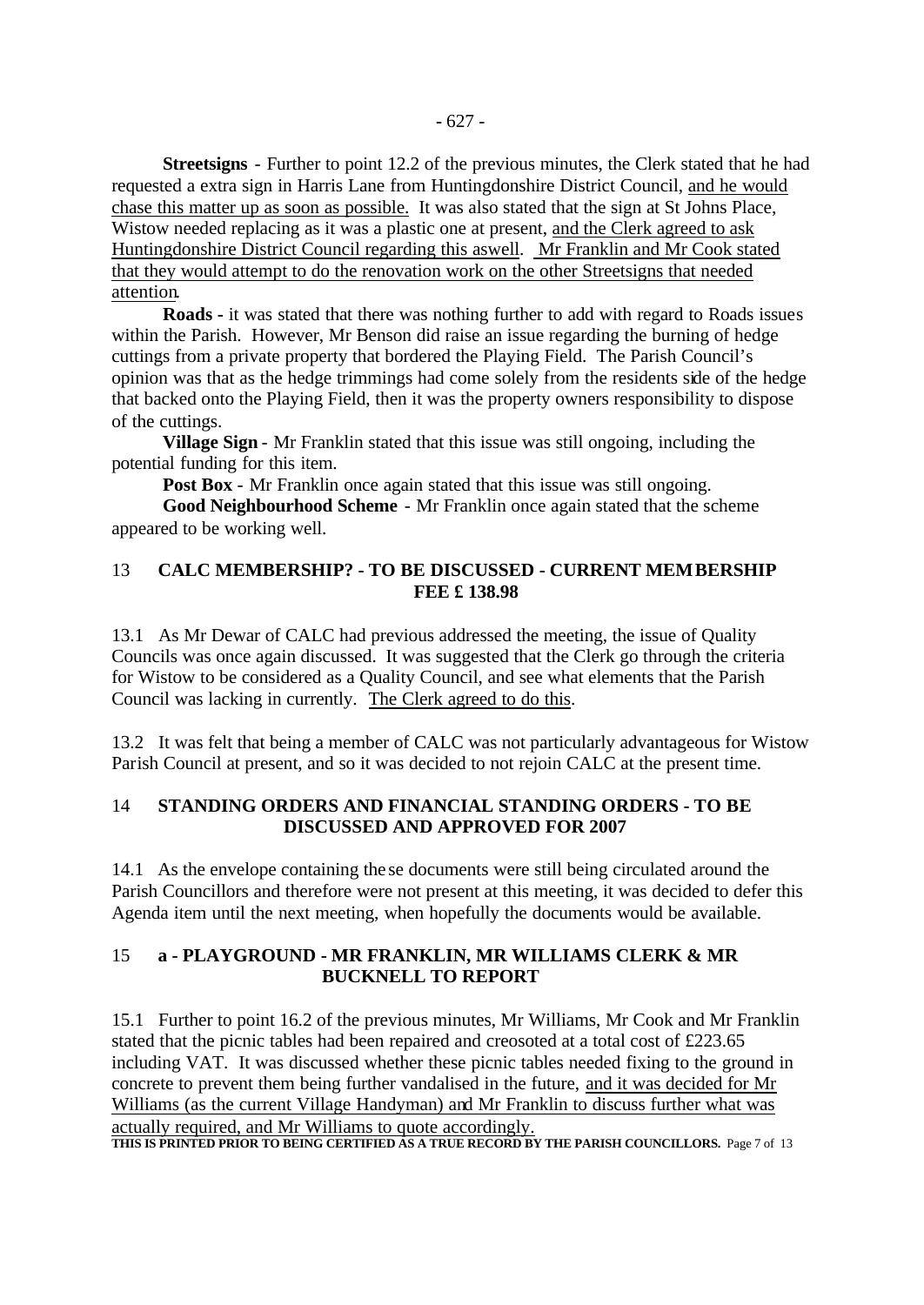**Streetsigns** - Further to point 12.2 of the previous minutes, the Clerk stated that he had requested a extra sign in Harris Lane from Huntingdonshire District Council, and he would chase this matter up as soon as possible. It was also stated that the sign at St Johns Place, Wistow needed replacing as it was a plastic one at present, and the Clerk agreed to ask Huntingdonshire District Council regarding this aswell. Mr Franklin and Mr Cook stated that they would attempt to do the renovation work on the other Streetsigns that needed attention.

 **Roads -** it was stated that there was nothing further to add with regard to Roads issues within the Parish. However, Mr Benson did raise an issue regarding the burning of hedge cuttings from a private property that bordered the Playing Field. The Parish Council's opinion was that as the hedge trimmings had come solely from the residents side of the hedge that backed onto the Playing Field, then it was the property owners responsibility to dispose of the cuttings.

 **Village Sign** - Mr Franklin stated that this issue was still ongoing, including the potential funding for this item.

**Post Box** - Mr Franklin once again stated that this issue was still ongoing.

 **Good Neighbourhood Scheme** - Mr Franklin once again stated that the scheme appeared to be working well.

#### 13 **CALC MEMBERSHIP? - TO BE DISCUSSED - CURRENT MEMBERSHIP FEE £ 138.98**

13.1 As Mr Dewar of CALC had previous addressed the meeting, the issue of Quality Councils was once again discussed. It was suggested that the Clerk go through the criteria for Wistow to be considered as a Quality Council, and see what elements that the Parish Council was lacking in currently. The Clerk agreed to do this.

13.2 It was felt that being a member of CALC was not particularly advantageous for Wistow Parish Council at present, and so it was decided to not rejoin CALC at the present time.

#### 14 **STANDING ORDERS AND FINANCIAL STANDING ORDERS - TO BE DISCUSSED AND APPROVED FOR 2007**

14.1 As the envelope containing the se documents were still being circulated around the Parish Councillors and therefore were not present at this meeting, it was decided to defer this Agenda item until the next meeting, when hopefully the documents would be available.

#### 15 **a - PLAYGROUND - MR FRANKLIN, MR WILLIAMS CLERK & MR BUCKNELL TO REPORT**

15.1 Further to point 16.2 of the previous minutes, Mr Williams, Mr Cook and Mr Franklin stated that the picnic tables had been repaired and creosoted at a total cost of £223.65 including VAT. It was discussed whether these picnic tables needed fixing to the ground in concrete to prevent them being further vandalised in the future, and it was decided for Mr Williams (as the current Village Handyman) and Mr Franklin to discuss further what was actually required, and Mr Williams to quote accordingly.

**THIS IS PRINTED PRIOR TO BEING CERTIFIED AS A TRUE RECORD BY THE PARISH COUNCILLORS.** Page 7 of 13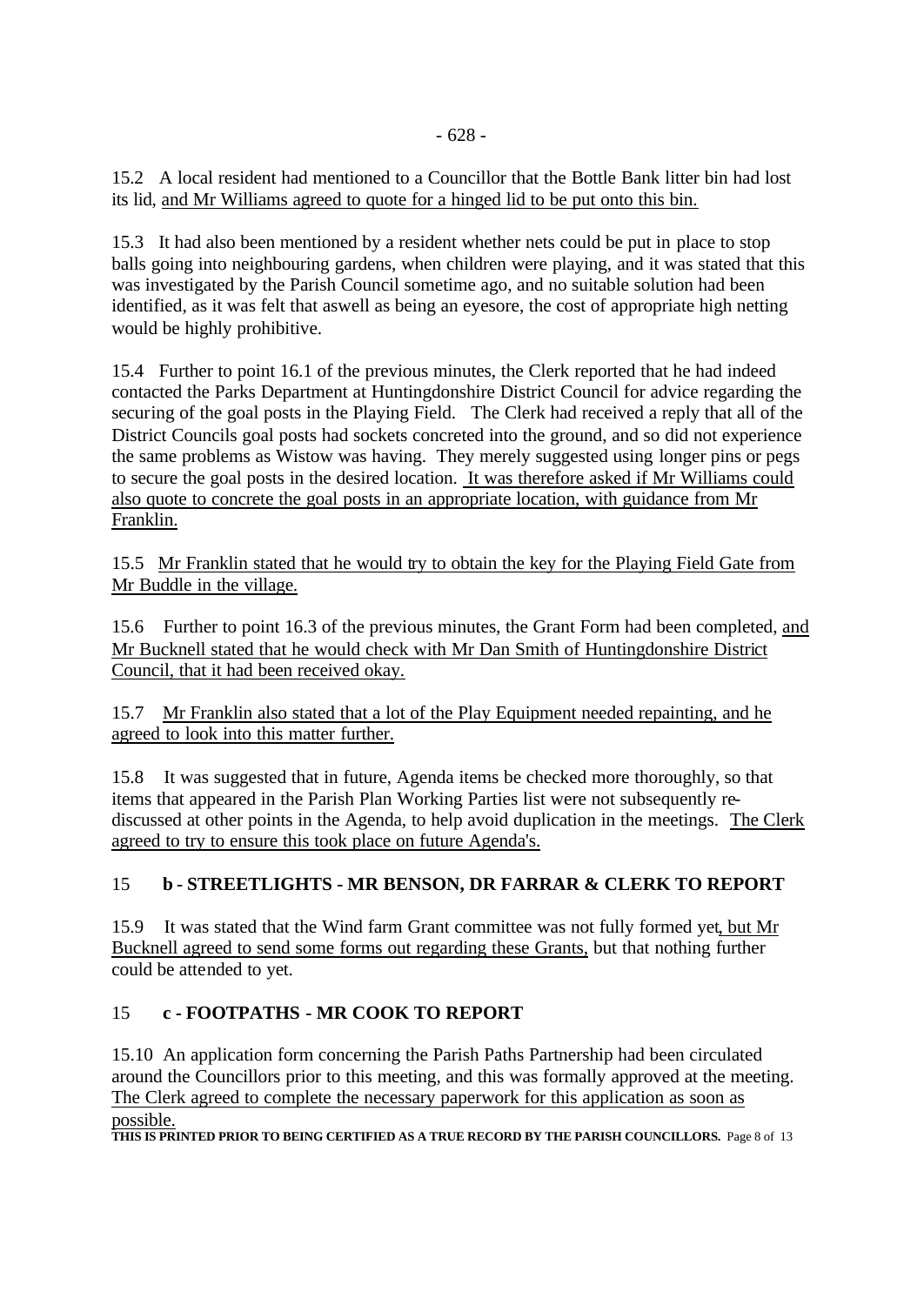15.2 A local resident had mentioned to a Councillor that the Bottle Bank litter bin had lost its lid, and Mr Williams agreed to quote for a hinged lid to be put onto this bin.

15.3 It had also been mentioned by a resident whether nets could be put in place to stop balls going into neighbouring gardens, when children were playing, and it was stated that this was investigated by the Parish Council sometime ago, and no suitable solution had been identified, as it was felt that aswell as being an eyesore, the cost of appropriate high netting would be highly prohibitive.

15.4 Further to point 16.1 of the previous minutes, the Clerk reported that he had indeed contacted the Parks Department at Huntingdonshire District Council for advice regarding the securing of the goal posts in the Playing Field. The Clerk had received a reply that all of the District Councils goal posts had sockets concreted into the ground, and so did not experience the same problems as Wistow was having. They merely suggested using longer pins or pegs to secure the goal posts in the desired location. It was therefore asked if Mr Williams could also quote to concrete the goal posts in an appropriate location, with guidance from Mr Franklin.

15.5 Mr Franklin stated that he would try to obtain the key for the Playing Field Gate from Mr Buddle in the village.

15.6 Further to point 16.3 of the previous minutes, the Grant Form had been completed, and Mr Bucknell stated that he would check with Mr Dan Smith of Huntingdonshire District Council, that it had been received okay.

15.7 Mr Franklin also stated that a lot of the Play Equipment needed repainting, and he agreed to look into this matter further.

15.8 It was suggested that in future, Agenda items be checked more thoroughly, so that items that appeared in the Parish Plan Working Parties list were not subsequently rediscussed at other points in the Agenda, to help avoid duplication in the meetings. The Clerk agreed to try to ensure this took place on future Agenda's.

# 15 **b - STREETLIGHTS - MR BENSON, DR FARRAR & CLERK TO REPORT**

15.9 It was stated that the Wind farm Grant committee was not fully formed yet, but Mr Bucknell agreed to send some forms out regarding these Grants, but that nothing further could be attended to yet.

# 15 **c - FOOTPATHS - MR COOK TO REPORT**

15.10 An application form concerning the Parish Paths Partnership had been circulated around the Councillors prior to this meeting, and this was formally approved at the meeting. The Clerk agreed to complete the necessary paperwork for this application as soon as possible.

**THIS IS PRINTED PRIOR TO BEING CERTIFIED AS A TRUE RECORD BY THE PARISH COUNCILLORS.** Page 8 of 13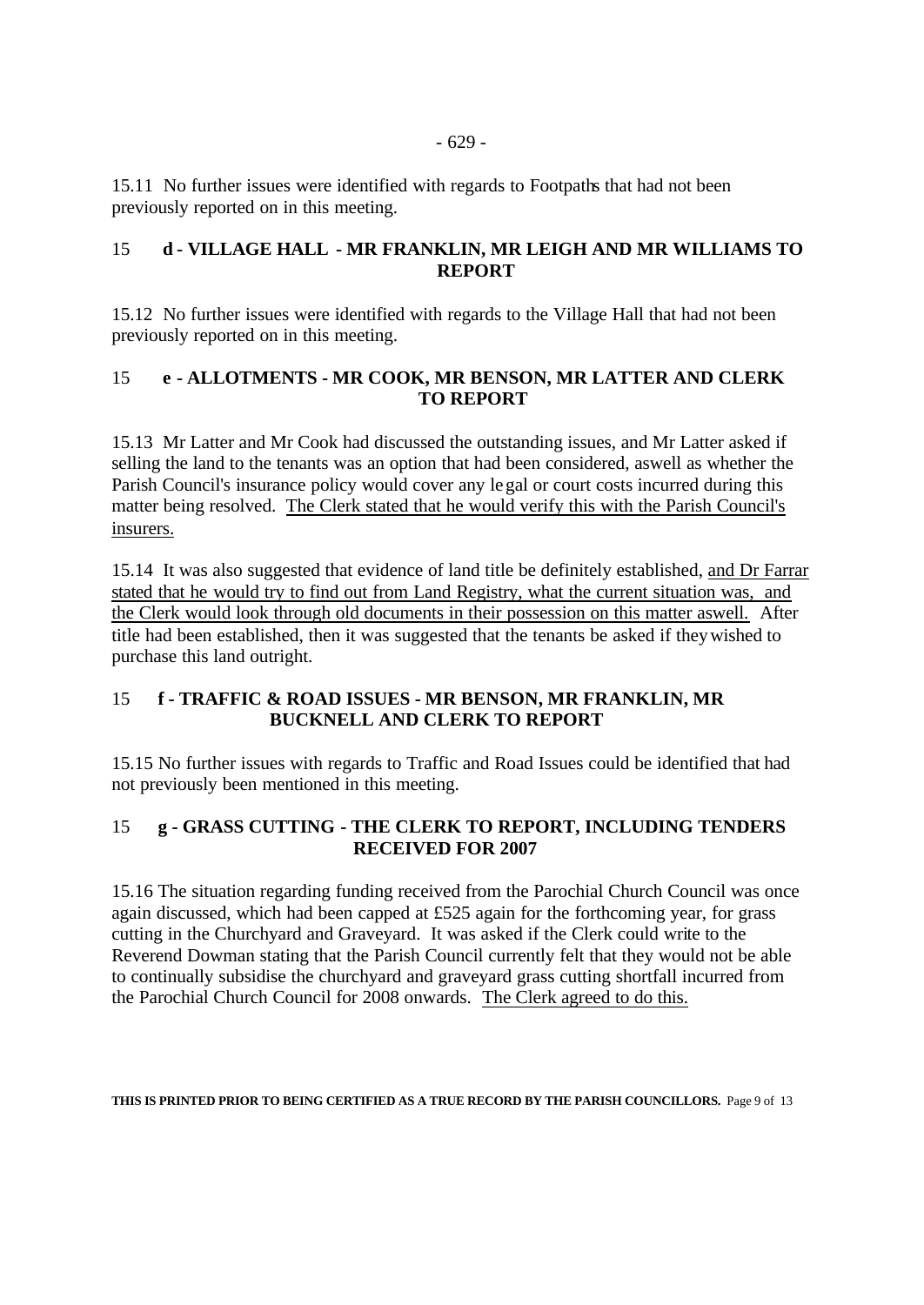15.11 No further issues were identified with regards to Footpaths that had not been previously reported on in this meeting.

# 15 **d - VILLAGE HALL - MR FRANKLIN, MR LEIGH AND MR WILLIAMS TO REPORT**

15.12 No further issues were identified with regards to the Village Hall that had not been previously reported on in this meeting.

## 15 **e - ALLOTMENTS - MR COOK, MR BENSON, MR LATTER AND CLERK TO REPORT**

15.13 Mr Latter and Mr Cook had discussed the outstanding issues, and Mr Latter asked if selling the land to the tenants was an option that had been considered, aswell as whether the Parish Council's insurance policy would cover any legal or court costs incurred during this matter being resolved. The Clerk stated that he would verify this with the Parish Council's insurers.

15.14 It was also suggested that evidence of land title be definitely established, and Dr Farrar stated that he would try to find out from Land Registry, what the current situation was, and the Clerk would look through old documents in their possession on this matter aswell. After title had been established, then it was suggested that the tenants be asked if they wished to purchase this land outright.

## 15 **f - TRAFFIC & ROAD ISSUES - MR BENSON, MR FRANKLIN, MR BUCKNELL AND CLERK TO REPORT**

15.15 No further issues with regards to Traffic and Road Issues could be identified that had not previously been mentioned in this meeting.

# 15 **g - GRASS CUTTING - THE CLERK TO REPORT, INCLUDING TENDERS RECEIVED FOR 2007**

15.16 The situation regarding funding received from the Parochial Church Council was once again discussed, which had been capped at £525 again for the forthcoming year, for grass cutting in the Churchyard and Graveyard. It was asked if the Clerk could write to the Reverend Dowman stating that the Parish Council currently felt that they would not be able to continually subsidise the churchyard and graveyard grass cutting shortfall incurred from the Parochial Church Council for 2008 onwards. The Clerk agreed to do this.

**THIS IS PRINTED PRIOR TO BEING CERTIFIED AS A TRUE RECORD BY THE PARISH COUNCILLORS.** Page 9 of 13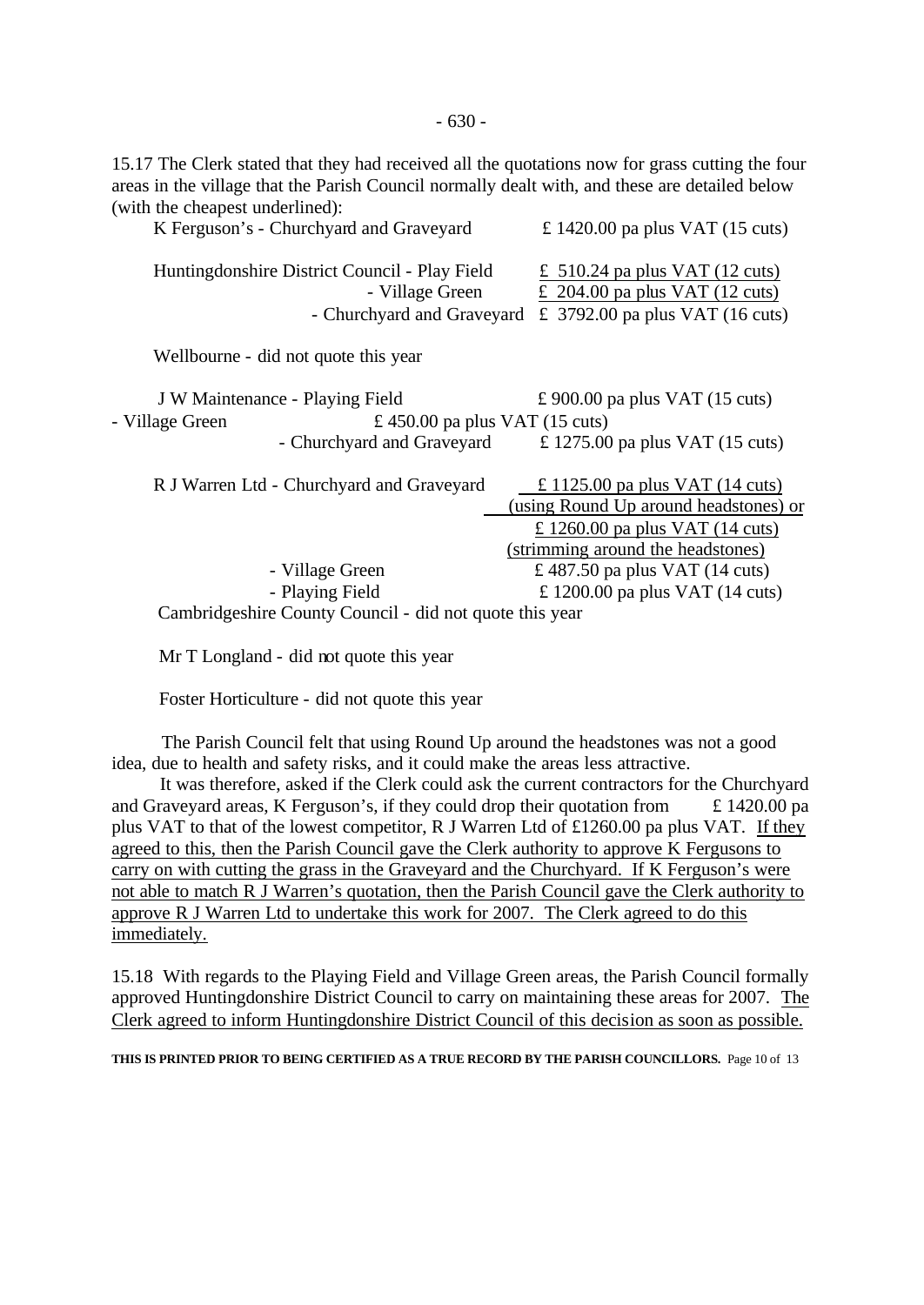15.17 The Clerk stated that they had received all the quotations now for grass cutting the four areas in the village that the Parish Council normally dealt with, and these are detailed below (with the cheapest underlined):

| £ 1420.00 pa plus VAT $(15 \text{ cuts})$                                                                                         |
|-----------------------------------------------------------------------------------------------------------------------------------|
| £ 510.24 pa plus VAT $(12 \text{ cuts})$<br>£ 204.00 pa plus VAT $(12 \text{ cuts})$<br>£ 3792.00 pa plus VAT $(16 \text{ cuts})$ |
|                                                                                                                                   |
| £ 1275.00 pa plus VAT $(15 \text{ cuts})$                                                                                         |
| £ 1125.00 pa plus VAT $(14 \text{ cuts})$                                                                                         |
| (using Round Up around headstones) or<br>$\text{\textsterling}$ 1260.00 pa plus VAT (14 cuts)                                     |
|                                                                                                                                   |
| £ 1200.00 pa plus VAT $(14 \text{ cuts})$                                                                                         |
|                                                                                                                                   |
|                                                                                                                                   |

Mr T Longland - did not quote this year

Foster Horticulture - did not quote this year

 The Parish Council felt that using Round Up around the headstones was not a good idea, due to health and safety risks, and it could make the areas less attractive.

 It was therefore, asked if the Clerk could ask the current contractors for the Churchyard and Graveyard areas, K Ferguson's, if they could drop their quotation from  $\pm 1420.00$  pa plus VAT to that of the lowest competitor, R J Warren Ltd of £1260.00 pa plus VAT. If they agreed to this, then the Parish Council gave the Clerk authority to approve K Fergusons to carry on with cutting the grass in the Graveyard and the Churchyard. If K Ferguson's were not able to match R J Warren's quotation, then the Parish Council gave the Clerk authority to approve R J Warren Ltd to undertake this work for 2007. The Clerk agreed to do this immediately.

15.18 With regards to the Playing Field and Village Green areas, the Parish Council formally approved Huntingdonshire District Council to carry on maintaining these areas for 2007. The Clerk agreed to inform Huntingdonshire District Council of this decision as soon as possible.

**THIS IS PRINTED PRIOR TO BEING CERTIFIED AS A TRUE RECORD BY THE PARISH COUNCILLORS.** Page 10 of 13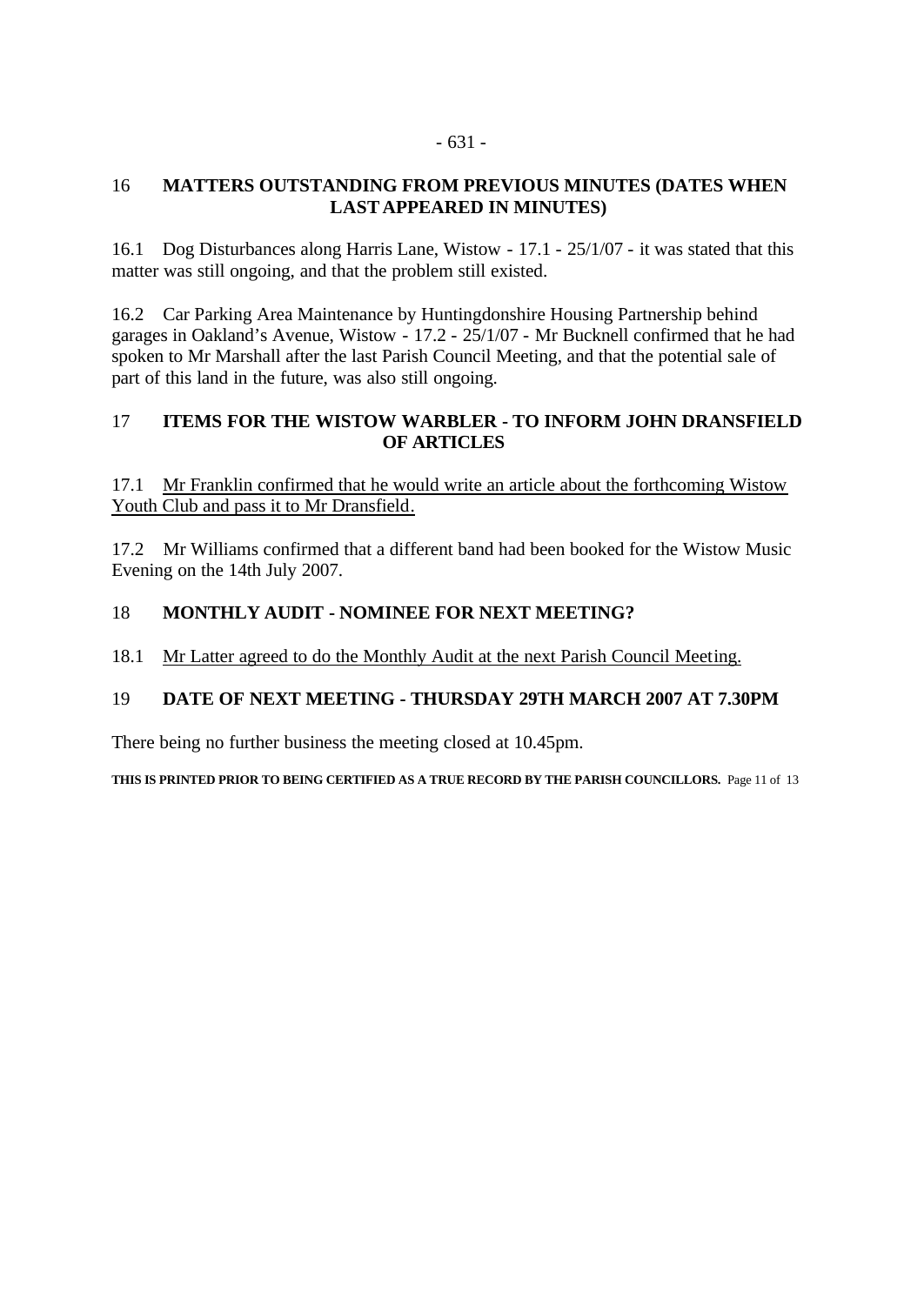#### - 631 -

# 16 **MATTERS OUTSTANDING FROM PREVIOUS MINUTES (DATES WHEN LAST APPEARED IN MINUTES)**

16.1 Dog Disturbances along Harris Lane, Wistow - 17.1 - 25/1/07 - it was stated that this matter was still ongoing, and that the problem still existed.

16.2 Car Parking Area Maintenance by Huntingdonshire Housing Partnership behind garages in Oakland's Avenue, Wistow - 17.2 - 25/1/07 - Mr Bucknell confirmed that he had spoken to Mr Marshall after the last Parish Council Meeting, and that the potential sale of part of this land in the future, was also still ongoing.

# 17 **ITEMS FOR THE WISTOW WARBLER - TO INFORM JOHN DRANSFIELD OF ARTICLES**

17.1 Mr Franklin confirmed that he would write an article about the forthcoming Wistow Youth Club and pass it to Mr Dransfield.

17.2 Mr Williams confirmed that a different band had been booked for the Wistow Music Evening on the 14th July 2007.

# 18 **MONTHLY AUDIT - NOMINEE FOR NEXT MEETING?**

# 18.1 Mr Latter agreed to do the Monthly Audit at the next Parish Council Meeting.

# 19 **DATE OF NEXT MEETING - THURSDAY 29TH MARCH 2007 AT 7.30PM**

There being no further business the meeting closed at 10.45pm.

**THIS IS PRINTED PRIOR TO BEING CERTIFIED AS A TRUE RECORD BY THE PARISH COUNCILLORS.** Page 11 of 13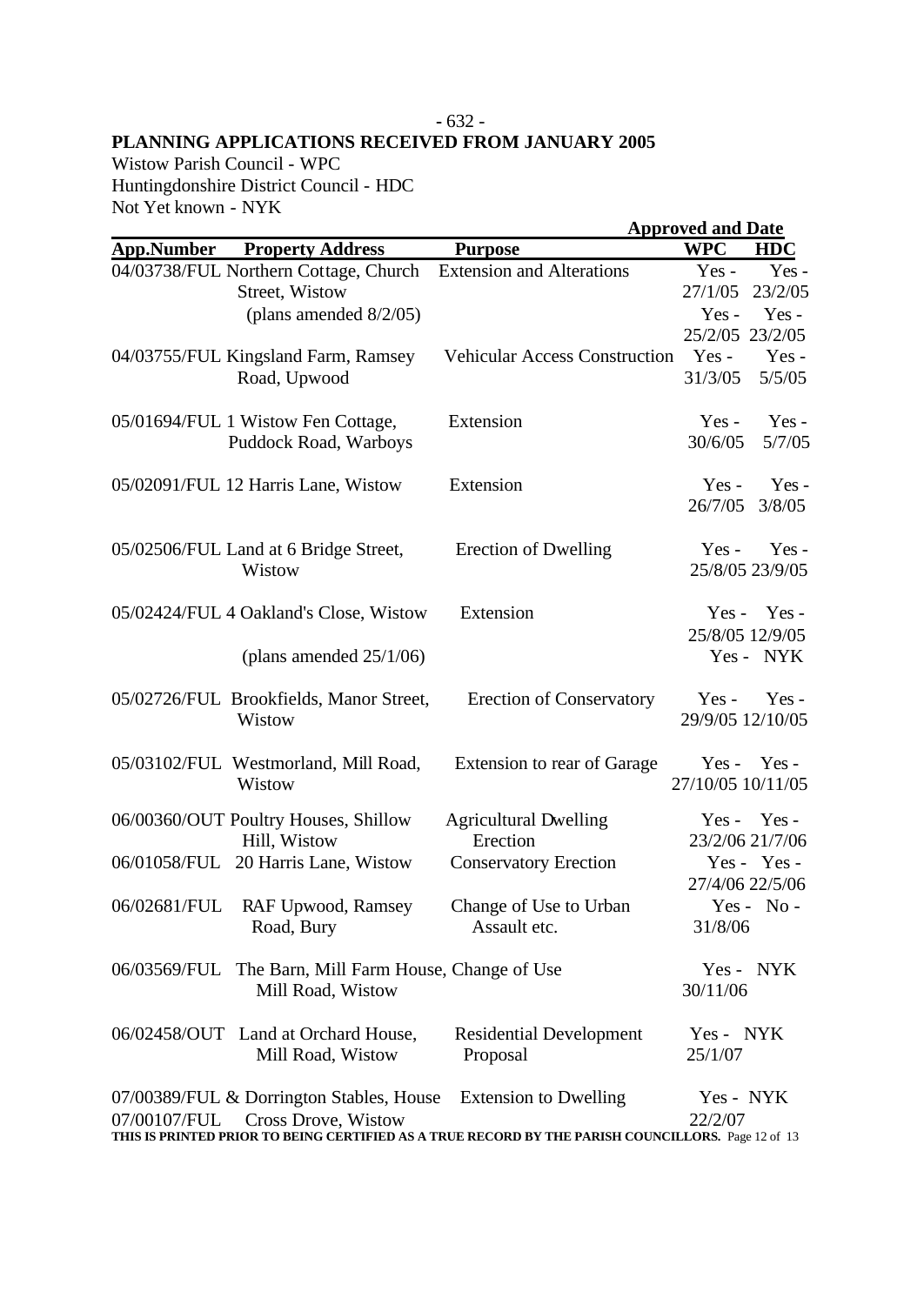#### **-** 632 - **PLANNING APPLICATIONS RECEIVED FROM JANUARY 2005**

Wistow Parish Council - WPC Huntingdonshire District Council - HDC Not Yet known - NYK

|                   |                                          |                                                                                                    | <b>Approved and Date</b> |                 |
|-------------------|------------------------------------------|----------------------------------------------------------------------------------------------------|--------------------------|-----------------|
| <b>App.Number</b> | <b>Property Address</b>                  | <b>Purpose</b>                                                                                     | <b>WPC</b>               | <b>HDC</b>      |
|                   | 04/03738/FUL Northern Cottage, Church    | <b>Extension and Alterations</b>                                                                   | $Yes -$                  | Yes-            |
|                   | Street, Wistow                           |                                                                                                    | 27/1/05                  | 23/2/05         |
|                   | (plans amended $8/2/05$ )                |                                                                                                    | $Yes -$                  | Yes-            |
|                   |                                          |                                                                                                    | 25/2/05 23/2/05          |                 |
|                   | 04/03755/FUL Kingsland Farm, Ramsey      | <b>Vehicular Access Construction</b>                                                               | Yes -                    | Yes-            |
|                   | Road, Upwood                             |                                                                                                    | 31/3/05                  | 5/5/05          |
|                   | 05/01694/FUL 1 Wistow Fen Cottage,       | Extension                                                                                          | $Yes -$                  | $Yes -$         |
|                   | Puddock Road, Warboys                    |                                                                                                    | 30/6/05                  | 5/7/05          |
|                   | 05/02091/FUL 12 Harris Lane, Wistow      | Extension                                                                                          | Yes-                     | Yes-            |
|                   |                                          |                                                                                                    | 26/7/05                  | 3/8/05          |
|                   |                                          |                                                                                                    |                          |                 |
|                   | 05/02506/FUL Land at 6 Bridge Street,    | <b>Erection of Dwelling</b>                                                                        | $Yes -$                  | $Yes -$         |
|                   | Wistow                                   |                                                                                                    |                          | 25/8/05 23/9/05 |
|                   |                                          |                                                                                                    |                          |                 |
|                   | 05/02424/FUL 4 Oakland's Close, Wistow   | Extension                                                                                          | $Yes -$                  | $Yes -$         |
|                   |                                          |                                                                                                    |                          | 25/8/05 12/9/05 |
|                   | (plans amended $25/1/06$ )               |                                                                                                    |                          | Yes - NYK       |
|                   | 05/02726/FUL Brookfields, Manor Street,  | <b>Erection of Conservatory</b>                                                                    | $Yes -$                  | $Yes -$         |
|                   | Wistow                                   |                                                                                                    | 29/9/05 12/10/05         |                 |
|                   |                                          |                                                                                                    |                          |                 |
|                   | 05/03102/FUL Westmorland, Mill Road,     | Extension to rear of Garage                                                                        | $Yes -$                  | Yes -           |
|                   | Wistow                                   |                                                                                                    | 27/10/05 10/11/05        |                 |
|                   |                                          |                                                                                                    |                          |                 |
|                   | 06/00360/OUT Poultry Houses, Shillow     | <b>Agricultural Dwelling</b><br>Erection                                                           |                          | $Yes - Yes -$   |
|                   | Hill, Wistow                             |                                                                                                    |                          | 23/2/06 21/7/06 |
| 06/01058/FUL      | 20 Harris Lane, Wistow                   | <b>Conservatory Erection</b>                                                                       |                          | Yes - Yes -     |
|                   |                                          |                                                                                                    |                          | 27/4/06 22/5/06 |
| 06/02681/FUL      | RAF Upwood, Ramsey                       | Change of Use to Urban                                                                             |                          | $Yes - No -$    |
|                   | Road, Bury                               | Assault etc.                                                                                       | 31/8/06                  |                 |
| 06/03569/FUL      | The Barn, Mill Farm House, Change of Use |                                                                                                    |                          | Yes - NYK       |
|                   | Mill Road, Wistow                        |                                                                                                    | 30/11/06                 |                 |
|                   |                                          |                                                                                                    |                          |                 |
|                   | 06/02458/OUT Land at Orchard House,      | <b>Residential Development</b>                                                                     | Yes - NYK                |                 |
|                   | Mill Road, Wistow                        | Proposal                                                                                           | 25/1/07                  |                 |
|                   | 07/00389/FUL & Dorrington Stables, House | <b>Extension to Dwelling</b>                                                                       | Yes - NYK                |                 |
| 07/00107/FUL      | Cross Drove, Wistow                      |                                                                                                    | 22/2/07                  |                 |
|                   |                                          | THIS IS PRINTED PRIOR TO BEING CERTIFIED AS A TRUE RECORD BY THE PARISH COUNCILLORS. Page 12 of 13 |                          |                 |